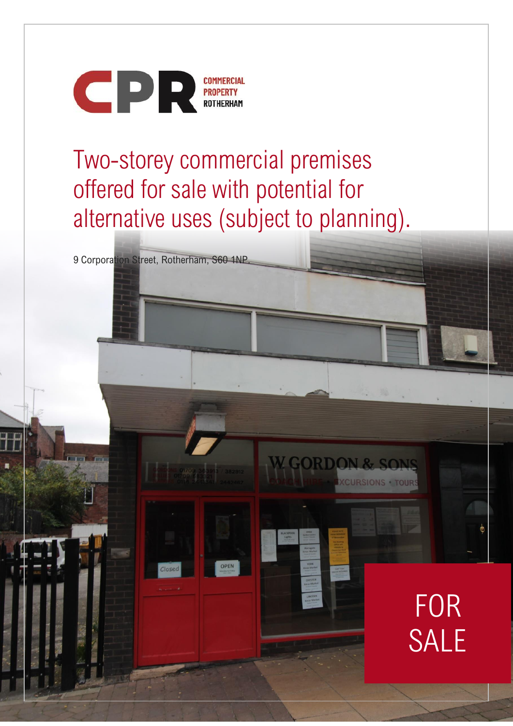

# Two-storey commercial premises offered for sale with potential for alternative uses (subject to planning).

OPEN

FOR

ON 8- SONS

**CURSIONS . TOURS** 

SALE

9 Corporation Street, Rotherham, S60 1NP.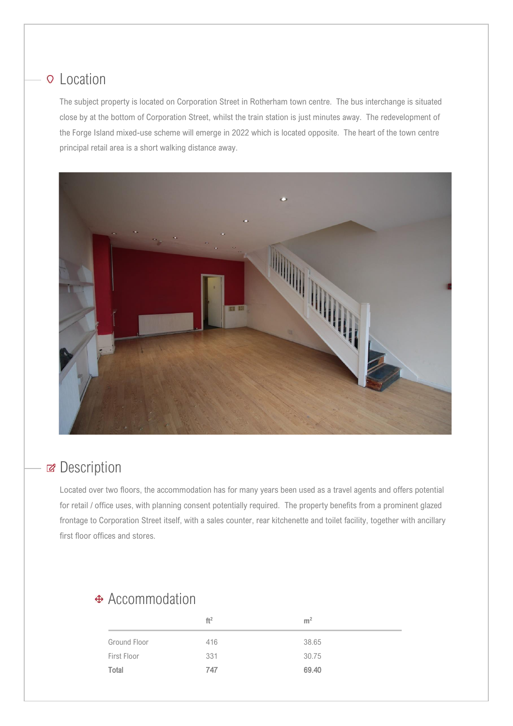#### **v** Location

The subject property is located on Corporation Street in Rotherham town centre. The bus interchange is situated close by at the bottom of Corporation Street, whilst the train station is just minutes away. The redevelopment of the Forge Island mixed-use scheme will emerge in 2022 which is located opposite. The heart of the town centre principal retail area is a short walking distance away.



#### ■ Description

Located over two floors, the accommodation has for many years been used as a travel agents and offers potential for retail / office uses, with planning consent potentially required. The property benefits from a prominent glazed frontage to Corporation Street itself, with a sales counter, rear kitchenette and toilet facility, together with ancillary first floor offices and stores.

| • Accommodation |  |
|-----------------|--|
|-----------------|--|

 $\overline{a}$ 

|              | ft <sup>2</sup> | m <sup>2</sup> |
|--------------|-----------------|----------------|
| Ground Floor | 416             | 38.65          |
| First Floor  | 331             | 30.75          |
| Total        | 747             | 69.40          |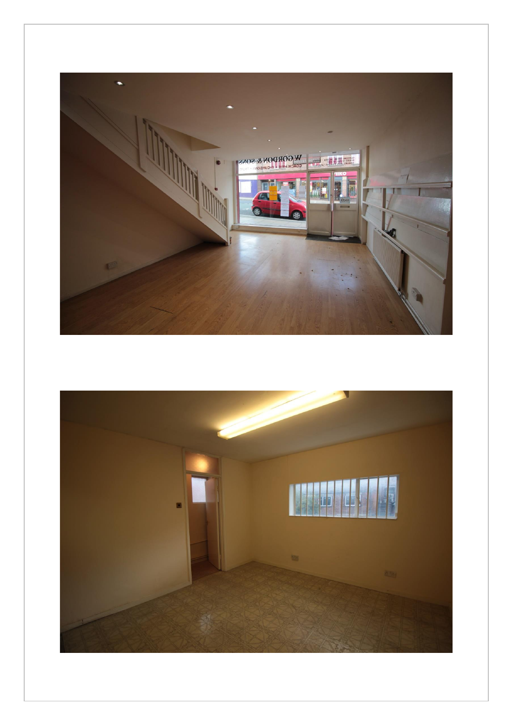

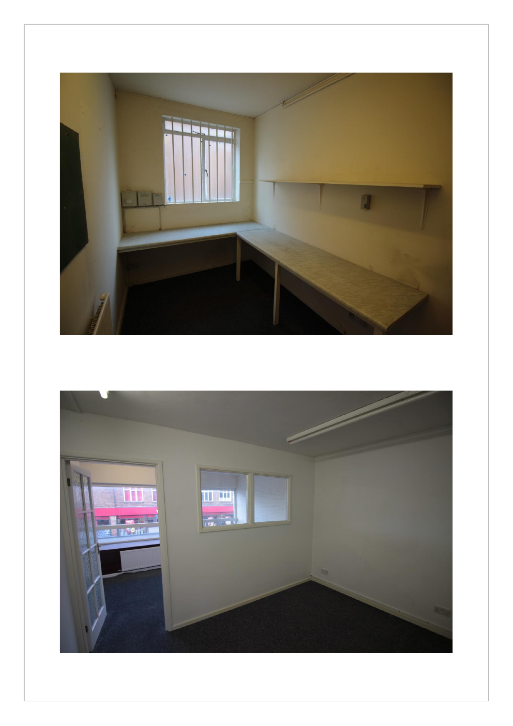

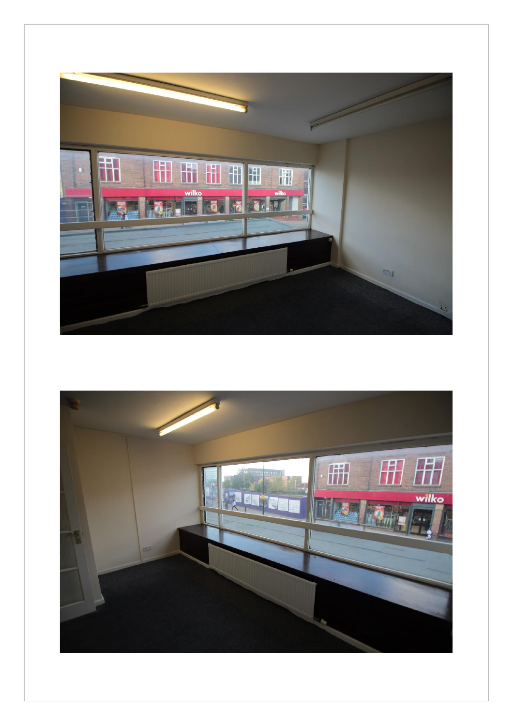